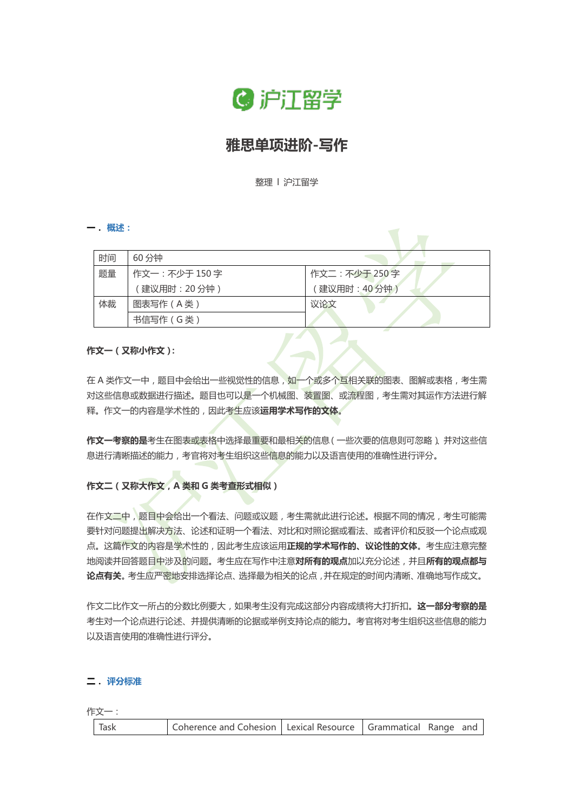

# **雅思单项进阶-写作**

整理 l 沪江留学

**一. 概述:**

| 时间 | 60 分钟         |                |
|----|---------------|----------------|
| 题量 | 作文一:不少于 150 字 | 作文二: 不少于 250 字 |
|    | (建议用时: 20分钟)  | (建议用时: 40分钟)   |
| 体裁 | 图表写作 (A类)     | 议论文            |
|    | 书信写作 (G类)     |                |

#### **作文一(又称小作文):**

在 A 类作文一中, 题目中会给出一些视觉性的信息, 如一个或多个互相关联的图表、图解或表格, 考生需 对这些信息或数据进行描述。题目也可以是一个机械图、装置图、或流程图,考生需对其运作方法进行解 释。作文一的内容是学术性的,因此考生应该**运用学术写作的文体**。

**作文一考察的是**考生在图表或表格中选择最重要和最相关的信息(一些次要的信息则可忽略)、并对这些信 息进行清晰描述的能力,考官将对考生组织这些信息的能力以及语言使用的准确性进行评分。

#### **作文二(又称大作文,A 类和 G 类考查形式相似)**

在作文二中,题目中会给出一个看法、问题或议题,考生需就此进行论述。根据不同的情况,考生可能需 要针对问题提出解决方法、论述和证明一个看法、对比和对照论据或看法、或者评价和反驳一个论点或观 点。这篇作文的内容是学术性的,因此考生应该运用**正规的学术写作的、议论性的文体**。考生应注意完整 地阅读并回答题目中涉及的问题。考生应在写作中注意**对所有的观点**加以充分论述,并且**所有的观点都与 论点有关**。考生应严密地安排选择论点、选择最为相关的论点,并在规定的时间内清晰、准确地写作成文。

作文二比作文一所占的分数比例要大,如果考生没有完成这部分内容成绩将大打折扣。**这一部分考察的是** 考生对一个论点进行论述、并提供清晰的论据或举例支持论点的能力。考官将对考生组织这些信息的能力 以及语言使用的准确性进行评分。

#### **二. 评分标准**

作文一:

| Coherence and Cohesion   Lexical Resource   Grammatical Range and<br>Task |  |  |  |  |  |  |
|---------------------------------------------------------------------------|--|--|--|--|--|--|
|---------------------------------------------------------------------------|--|--|--|--|--|--|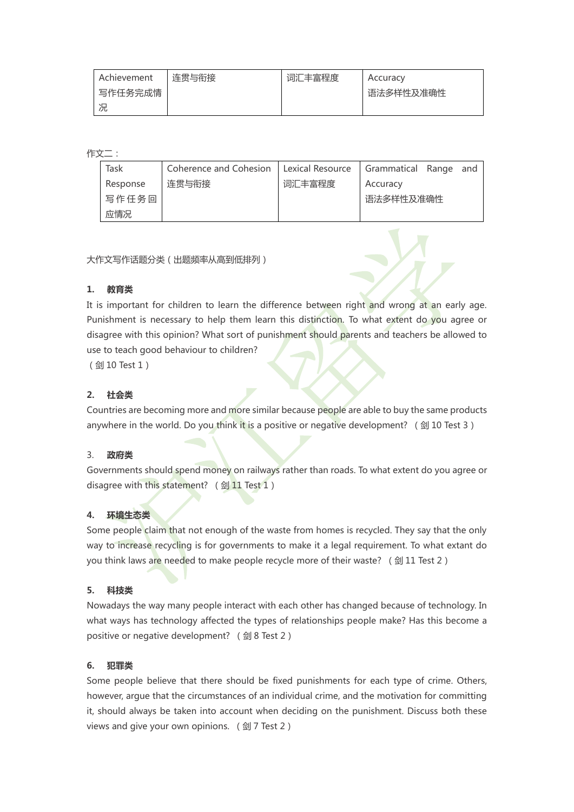|         | Achievement | 连贯与衔接 | 词汇丰富程度 | Accuracy  |
|---------|-------------|-------|--------|-----------|
| 写作任务完成情 |             |       |        | 语法多样性及准确性 |
|         | 况           |       |        |           |

作文二:

| Task     | Coherence and Cohesion   Lexical Resource   Grammatical Range and |        |           |  |
|----------|-------------------------------------------------------------------|--------|-----------|--|
| Response | 连贯与衔接                                                             | 词汇丰富程度 | Accuracy  |  |
| 写作任务回    |                                                                   |        | 语法多样性及准确性 |  |
| 应情况      |                                                                   |        |           |  |

大作文写作话题分类(出题频率从高到低排列)

## **1. 教育类**

It is important for children to learn the difference between right and wrong at an early age. Punishment is necessary to help them learn this distinction. To what extent do you agree or disagree with this opinion? What sort of punishment should parents and teachers be allowed to use to teach good behaviour to children?

(剑 10 Test 1)

## **2. 社会类**

Countries are becoming more and more similar because people are able to buy the same products anywhere in the world. Do you think it is a positive or negative development? ( $\textcircled{\ }10$  Test 3)

## 3. **政府类**

Governments should spend money on railways rather than roads. To what extent do you agree or disagree with this statement? (剑 11 Test 1)

## **4. 环境生态类**

Some people claim that not enough of the waste from homes is recycled. They say that the only way to increase recycling is for governments to make it a legal requirement. To what extant do you think laws are needed to make people recycle more of their waste? (剑 11 Test 2)

## **5. 科技类**

Nowadays the way many people interact with each other has changed because of technology. In what ways has technology affected the types of relationships people make? Has this become a positive or negative development? (剑 8 Test 2)

#### **6. 犯罪类**

Some people believe that there should be fixed punishments for each type of crime. Others, however, argue that the circumstances of an individual crime, and the motivation for committing it, should always be taken into account when deciding on the punishment. Discuss both these views and give your own opinions. (剑 7 Test 2)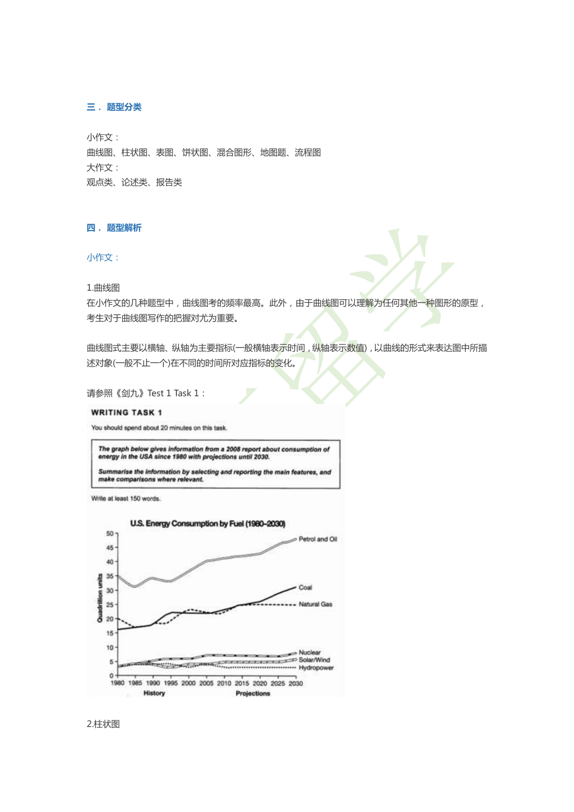#### **三. 题型分类**

小作文: 曲线图、柱状图、表图、饼状图、混合图形、地图题、流程图 大作文: 观点类、论述类、报告类

#### **四. 题型解析**

#### 小作文:

1.曲线图

在小作文的几种题型中,曲线图考的频率最高。此外,由于曲线图可以理解为任何其他一种图形的原型, 考生对于曲线图写作的把握对尤为重要。

曲线图式主要以横轴、纵轴为主要指标(一般横轴表示时间,纵轴表示数值),以曲线的形式来表达图中所描 述对象(一般不止一个)在不同的时间所对应指标的变化。

请参照《剑九》Test 1 Task 1:

#### **WRITING TASK 1**

You should spend about 20 minutes on this task.

The graph below gives information from a 2008 report about consumption of energy in the USA since 1980 with projections until 2030.

Summarise the information by selecting and reporting the main features, and<br>make comparisons where relevant.

Write at least 150 words.



2.柱状图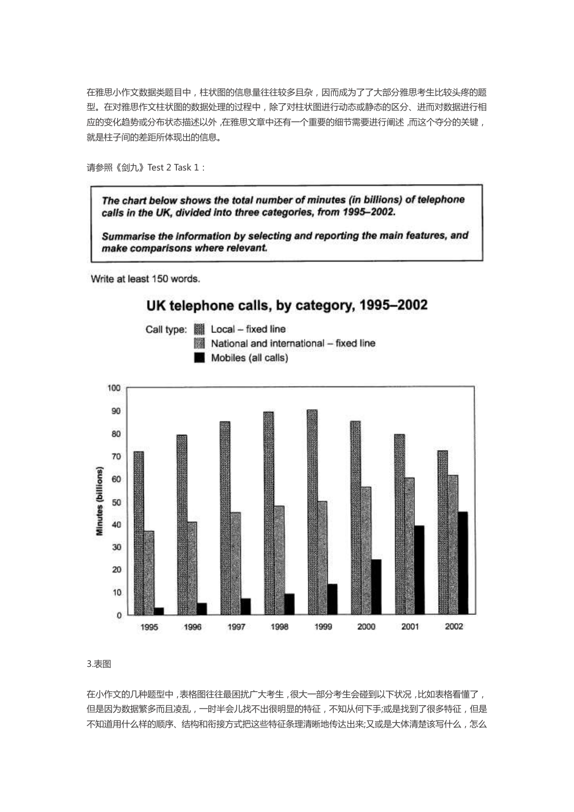在雅思小作文数据类题目中,柱状图的信息量往往较多且杂,因而成为了了大部分雅思考生比较头疼的题 型。在对雅思作文柱状图的数据处理的过程中,除了对柱状图进行动态或静态的区分、进而对数据进行相 应的变化趋势或分布状态描述以外,在雅思文章中还有一个重要的细节需要进行阐述,而这个夺分的关键, 就是柱子间的差距所体现出的信息。

请参照《剑九》Test 2 Task 1:

The chart below shows the total number of minutes (in billions) of telephone calls in the UK, divided into three categories, from 1995-2002.

Summarise the information by selecting and reporting the main features, and make comparisons where relevant.

Write at least 150 words.

# UK telephone calls, by category, 1995-2002





3.表图

在小作文的几种题型中,表格图往往最困扰广大考生,很大一部分考生会碰到以下状况,比如表格看懂了, 但是因为数据繁多而且凌乱,一时半会儿找不出很明显的特征,不知从何下手;或是找到了很多特征,但是 不知道用什么样的顺序、结构和衔接方式把这些特征条理清晰地传达出来;又或是大体清楚该写什么,怎么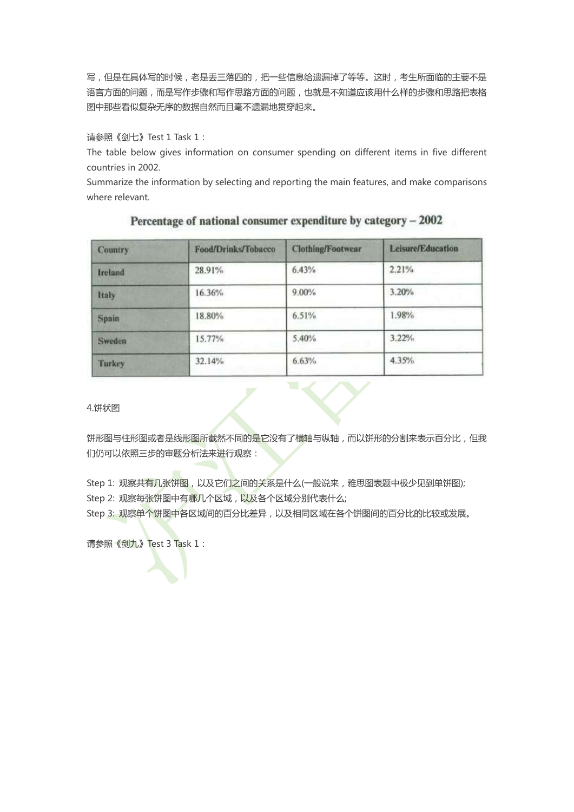写,但是在具体写的时候,老是丢三落四的,把一些信息给遗漏掉了等等。这时,考生所面临的主要不是 语言方面的问题,而是写作步骤和写作思路方面的问题,也就是不知道应该用什么样的步骤和思路把表格 图中那些看似复杂无序的数据自然而且毫不遗漏地贯穿起来。

请参照《剑七》Test 1 Task 1:

The table below gives information on consumer spending on different items in five different countries in 2002.

Summarize the information by selecting and reporting the main features, and make comparisons where relevant.

| Food/Drinks/Tobacco | <b>Clothing/Footwear</b> | <b>Leisure/Education</b> |
|---------------------|--------------------------|--------------------------|
| 28.91%              | 6.43%                    | 2.21%                    |
| 16.36%              | $9.00\%$                 | 3.20%                    |
| 18.80%              | 6.51%                    | 1.98%                    |
| 15.77%              | 5.40%                    | 3.22%                    |
| 32.14%              | 6.63%                    | 4.35%                    |
|                     |                          |                          |

### Percentage of national consumer expenditure by category - 2002

4.饼状图

饼形图与柱形图或者是线形图所截然不同的是它没有了横轴与纵轴,而以饼形的分割来表示百分比,但我 们仍可以依照三步的审题分析法来进行观察:

Step 1: 观察共有几张饼图, 以及它们之间的关系是什么(一般说来, 雅思图表题中极少见到单饼图); Step 2: 观察每张饼图中有哪几个区域,以及各个区域分别代表什么;

Step 3: 观察单个饼图中各区域间的百分比差异, 以及相同区域在各个饼图间的百分比的比较或发展。

请参照《剑九》Test 3 Task 1: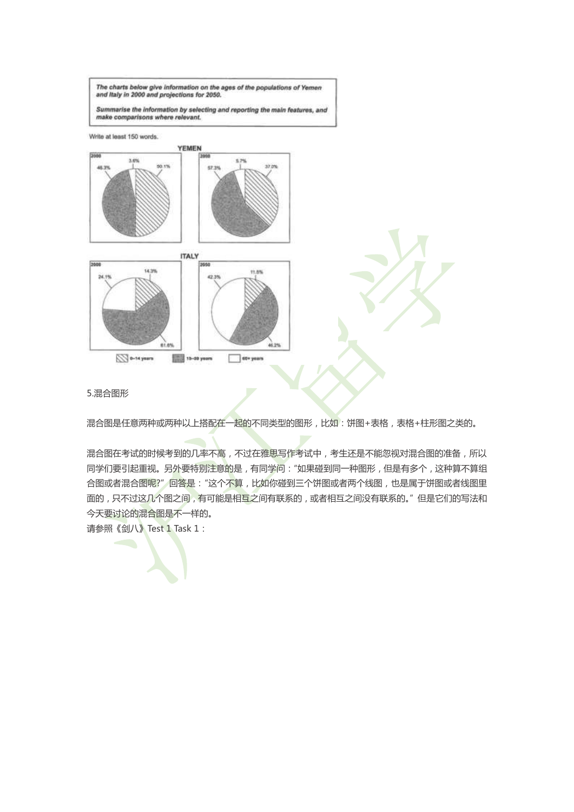The charts below give information on the ages of the populations of Yemen and Italy in 2000 and projections for 2050.

Summarise the information by selecting and reporting the main features, and<br>make comparisons where relevant.

Write at least 150 words.



5.混合图形

混合图是任意两种或两种以上搭配在一起的不同类型的图形,比如:饼图+表格,表格+柱形图之类的。

混合图在考试的时候考到的几率不高,不过在雅思写作考试中,考生还是不能忽视对混合图的准备,所以 同学们要引起重视。另外要特别注意的是,有同学问:"如果碰到同一种图形,但是有多个,这种算不算组 合图或者混合图呢?"回答是:"这个不算,比如你碰到三个饼图或者两个线图,也是属于饼图或者线图里 面的,只不过这几个图之间,有可能是相互之间有联系的,或者相互之间没有联系的。"但是它们的写法和 今天要讨论的混合图是不一样的。

请参照《剑八》Test 1 Task 1: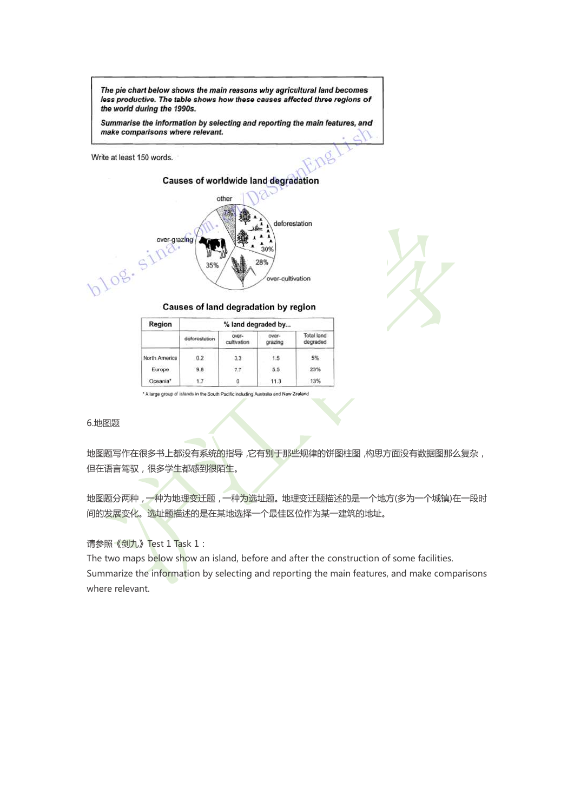The pie chart below shows the main reasons why agricultural land becomes less productive. The table shows how these causes affected three regions of the world during the 1990s.

Summarise the information by selecting and reporting the main features, and make comparisons where relevant.

Write at least 150 words.

**Causes of worldwide land degradation** 





Causes of land degradation by region

| Region        |               | % land degraded by   |                  |                               |
|---------------|---------------|----------------------|------------------|-------------------------------|
|               | deforestation | over-<br>cultivation | OVER-<br>grazing | <b>Total land</b><br>degraded |
| North America | 0.2           | 3.3                  | 1.5              | 5%                            |
| Europe        | 9.8           | 7.7                  | 5.5              | 23%                           |
| Oceania*      | 1.7           |                      | 11.3             | 13%                           |

\* A large group of islands in the South Pacific including Australia and New Zealand

6.地图题

地图题写作在很多书上都没有系统的指导,它有别于那些规律的饼图柱图,构思方面没有数据图那么复杂, 但在语言驾驭,很多学生都感到很陌生。

地图题分两种,一种为地理变迁题,一种为选址题。地理变迁题描述的是一个地方(多为一个城镇)在一段时 间的发展变化。选址题描述的是在某地选择一个最佳区位作为某一建筑的地址。

请参照《剑九》Test 1 Task 1:

The two maps below show an island, before and after the construction of some facilities. Summarize the information by selecting and reporting the main features, and make comparisons where relevant.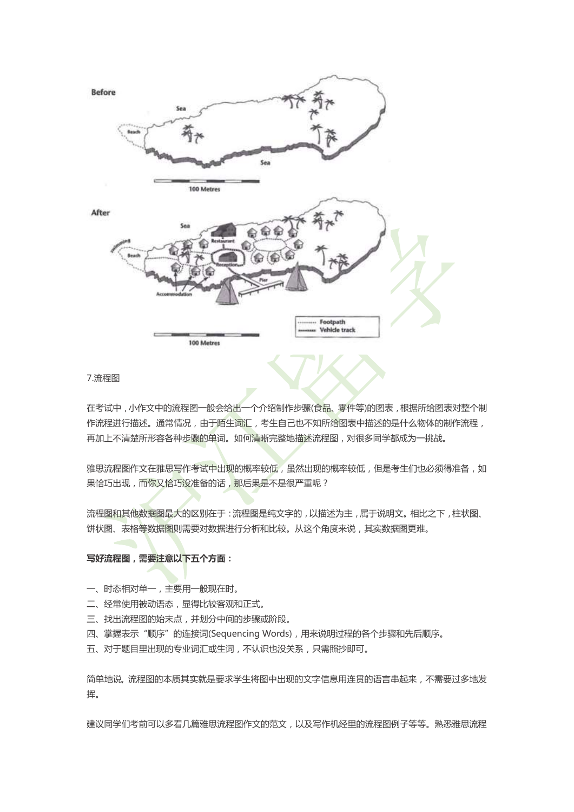

### 7.流程图

在考试中,小作文中的流程图一般会给出一个介绍制作步骤(食品、零件等)的图表,根据所给图表对整个制 作流程进行描述。通常情况,由于陌生词汇,考生自己也不知所给图表中描述的是什么物体的制作流程, 再加上不清楚所形容各种步骤的单词。如何清晰完整地描述流程图,对很多同学都成为一挑战。

雅思流程图作文在雅思写作考试中出现的概率较低,虽然出现的概率较低,但是考生们也必须得准备,如 果恰巧出现,而你又恰巧没准备的话,那后果是不是很严重呢?

流程图和其他数据图最大的区别在于:流程图是纯文字的,以描述为主,属于说明文。相比之下,柱状图、 饼状图、表格等数据图则需要对数据进行分析和比较。从这个角度来说,其实数据图更难。

## **写好流程图,需要注意以下五个方面:**

- 一、时态相对单一,主要用一般现在时。
- 二、经常使用被动语态,显得比较客观和正式。
- 三、找出流程图的始末点,并划分中间的步骤或阶段。
- 四、掌握表示"顺序"的连接词(Sequencing Words),用来说明过程的各个步骤和先后顺序。
- 五、对于题目里出现的专业词汇或生词,不认识也没关系,只需照抄即可。

简单地说, 流程图的本质其实就是要求学生将图中出现的文字信息用连贯的语言串起来,不需要过多地发 挥。

建议同学们考前可以多看几篇雅思流程图作文的范文,以及写作机经里的流程图例子等等。熟悉雅思流程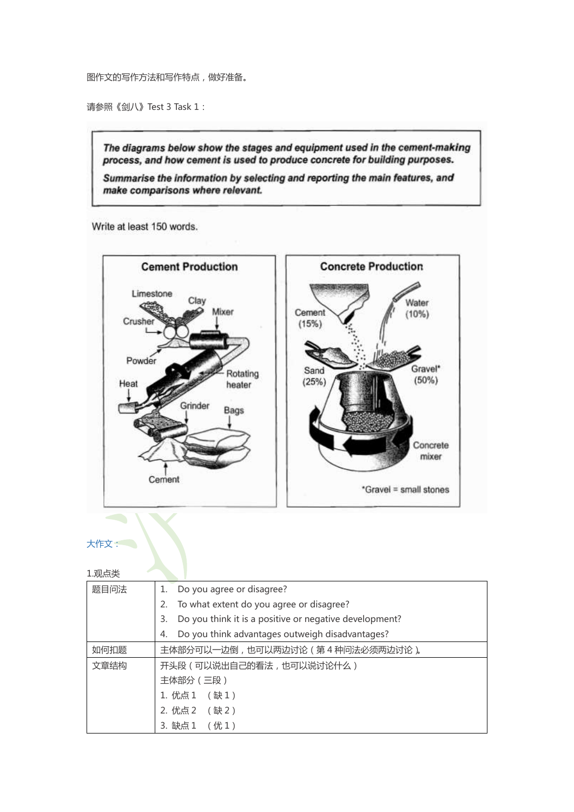图作文的写作方法和写作特点,做好准备。

请参照《剑八》Test 3 Task 1:

The diagrams below show the stages and equipment used in the cement-making process, and how cement is used to produce concrete for building purposes.

Summarise the information by selecting and reporting the main features, and make comparisons where relevant.

Write at least 150 words.



## 大作文:

| 1.观点类 |                                                              |
|-------|--------------------------------------------------------------|
| 题目问法  | Do you agree or disagree?<br>1.                              |
|       | To what extent do you agree or disagree?<br>2.               |
|       | Do you think it is a positive or negative development?<br>3. |
|       | Do you think advantages outweigh disadvantages?<br>4.        |
| 如何扣题  | 主体部分可以一边倒,也可以两边讨论 (第4种问法必须两边讨论)。                             |
| 文章结构  | 开头段 (可以说出自己的看法,也可以说讨论什么)                                     |
|       | 主体部分 (三段)                                                    |
|       | 1. 优点 1<br>(缺1)                                              |
|       | 2. 优点 2 (缺 2)                                                |
|       | (优1)<br>3. 缺点1                                               |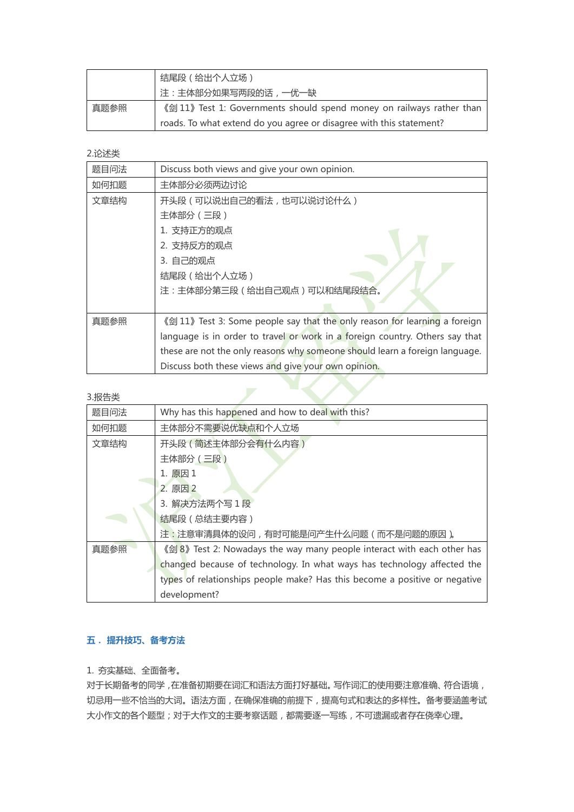|                                                                               | 结尾段(给出个人立场)                                                         |  |  |
|-------------------------------------------------------------------------------|---------------------------------------------------------------------|--|--|
|                                                                               | 注:主体部分如果写两段的话,一优一缺                                                  |  |  |
| 《剑 11》 Test 1: Governments should spend money on railways rather than<br>真题参照 |                                                                     |  |  |
|                                                                               | roads. To what extend do you agree or disagree with this statement? |  |  |

2.论述类

| 题目问法  | Discuss both views and give your own opinion.                                |
|-------|------------------------------------------------------------------------------|
| 如何扣题  | 主体部分必须两边讨论                                                                   |
| 文章结构  | 开头段 (可以说出自己的看法,也可以说讨论什么)                                                     |
|       | 主体部分 (三段)                                                                    |
|       | 1. 支持正方的观点                                                                   |
|       | 2. 支持反方的观点                                                                   |
|       | 3. 自己的观点                                                                     |
|       | 结尾段 (给出个人立场)                                                                 |
|       | 注:主体部分第三段 (给出自己观点)可以和结尾段结合。                                                  |
|       |                                                                              |
| 真题参照  | 《剑 11》 Test 3: Some people say that the only reason for learning a foreign   |
|       | language is in order to travel or work in a foreign country. Others say that |
|       | these are not the only reasons why someone should learn a foreign language.  |
|       | Discuss both these views and give your own opinion.                          |
| 3.报告类 |                                                                              |

#### 3.报告类

| 题目问法                       | Why has this happened and how to deal with this?                           |
|----------------------------|----------------------------------------------------------------------------|
| 如何扣题                       | 主体部分不需要说优缺点和个人立场                                                           |
| 开头段 (简述主体部分会有什么内容)<br>文章结构 |                                                                            |
|                            | 主体部分 (三段)                                                                  |
|                            | 1. 原因 1                                                                    |
|                            | 2. 原因 2                                                                    |
|                            | 3. 解决方法两个写 1 段                                                             |
|                            | 结尾段 (总结主要内容)                                                               |
|                            | 注:注意审清具体的设问,有时可能是问产生什么问题(而不是问题的原因)。                                        |
| 真题参照                       | 《剑 8》 Test 2: Nowadays the way many people interact with each other has    |
|                            | changed because of technology. In what ways has technology affected the    |
|                            | types of relationships people make? Has this become a positive or negative |
|                            | development?                                                               |

## **五. 提升技巧、备考方法**

1. 夯实基础、全面备考。

对于长期备考的同学,在准备初期要在词汇和语法方面打好基础。写作词汇的使用要注意准确、符合语境, 切忌用一些不恰当的大词。语法方面,在确保准确的前提下,提高句式和表达的多样性。备考要涵盖考试 大小作文的各个题型;对于大作文的主要考察话题,都需要逐一写练,不可遗漏或者存在侥幸心理。